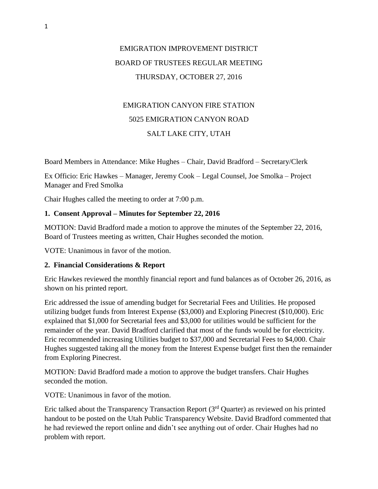# EMIGRATION IMPROVEMENT DISTRICT BOARD OF TRUSTEES REGULAR MEETING THURSDAY, OCTOBER 27, 2016

# EMIGRATION CANYON FIRE STATION 5025 EMIGRATION CANYON ROAD SALT LAKE CITY, UTAH

Board Members in Attendance: Mike Hughes – Chair, David Bradford – Secretary/Clerk

Ex Officio: Eric Hawkes – Manager, Jeremy Cook – Legal Counsel, Joe Smolka – Project Manager and Fred Smolka

Chair Hughes called the meeting to order at 7:00 p.m.

## **1. Consent Approval – Minutes for September 22, 2016**

MOTION: David Bradford made a motion to approve the minutes of the September 22, 2016, Board of Trustees meeting as written, Chair Hughes seconded the motion.

VOTE: Unanimous in favor of the motion.

### **2. Financial Considerations & Report**

Eric Hawkes reviewed the monthly financial report and fund balances as of October 26, 2016, as shown on his printed report.

Eric addressed the issue of amending budget for Secretarial Fees and Utilities. He proposed utilizing budget funds from Interest Expense (\$3,000) and Exploring Pinecrest (\$10,000). Eric explained that \$1,000 for Secretarial fees and \$3,000 for utilities would be sufficient for the remainder of the year. David Bradford clarified that most of the funds would be for electricity. Eric recommended increasing Utilities budget to \$37,000 and Secretarial Fees to \$4,000. Chair Hughes suggested taking all the money from the Interest Expense budget first then the remainder from Exploring Pinecrest.

MOTION: David Bradford made a motion to approve the budget transfers. Chair Hughes seconded the motion.

VOTE: Unanimous in favor of the motion.

Eric talked about the Transparency Transaction Report  $(3<sup>rd</sup>$  Quarter) as reviewed on his printed handout to be posted on the Utah Public Transparency Website. David Bradford commented that he had reviewed the report online and didn't see anything out of order. Chair Hughes had no problem with report.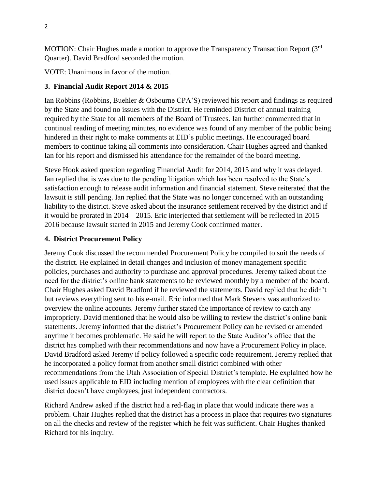MOTION: Chair Hughes made a motion to approve the Transparency Transaction Report (3rd) Quarter). David Bradford seconded the motion.

VOTE: Unanimous in favor of the motion.

### **3. Financial Audit Report 2014 & 2015**

Ian Robbins (Robbins, Buehler & Osbourne CPA'S) reviewed his report and findings as required by the State and found no issues with the District. He reminded District of annual training required by the State for all members of the Board of Trustees. Ian further commented that in continual reading of meeting minutes, no evidence was found of any member of the public being hindered in their right to make comments at EID's public meetings. He encouraged board members to continue taking all comments into consideration. Chair Hughes agreed and thanked Ian for his report and dismissed his attendance for the remainder of the board meeting.

Steve Hook asked question regarding Financial Audit for 2014, 2015 and why it was delayed. Ian replied that is was due to the pending litigation which has been resolved to the State's satisfaction enough to release audit information and financial statement. Steve reiterated that the lawsuit is still pending. Ian replied that the State was no longer concerned with an outstanding liability to the district. Steve asked about the insurance settlement received by the district and if it would be prorated in 2014 – 2015. Eric interjected that settlement will be reflected in 2015 – 2016 because lawsuit started in 2015 and Jeremy Cook confirmed matter.

### **4. District Procurement Policy**

Jeremy Cook discussed the recommended Procurement Policy he compiled to suit the needs of the district. He explained in detail changes and inclusion of money management specific policies, purchases and authority to purchase and approval procedures. Jeremy talked about the need for the district's online bank statements to be reviewed monthly by a member of the board. Chair Hughes asked David Bradford if he reviewed the statements. David replied that he didn't but reviews everything sent to his e-mail. Eric informed that Mark Stevens was authorized to overview the online accounts. Jeremy further stated the importance of review to catch any impropriety. David mentioned that he would also be willing to review the district's online bank statements. Jeremy informed that the district's Procurement Policy can be revised or amended anytime it becomes problematic. He said he will report to the State Auditor's office that the district has complied with their recommendations and now have a Procurement Policy in place. David Bradford asked Jeremy if policy followed a specific code requirement. Jeremy replied that he incorporated a policy format from another small district combined with other recommendations from the Utah Association of Special District's template. He explained how he used issues applicable to EID including mention of employees with the clear definition that district doesn't have employees, just independent contractors.

Richard Andrew asked if the district had a red-flag in place that would indicate there was a problem. Chair Hughes replied that the district has a process in place that requires two signatures on all the checks and review of the register which he felt was sufficient. Chair Hughes thanked Richard for his inquiry.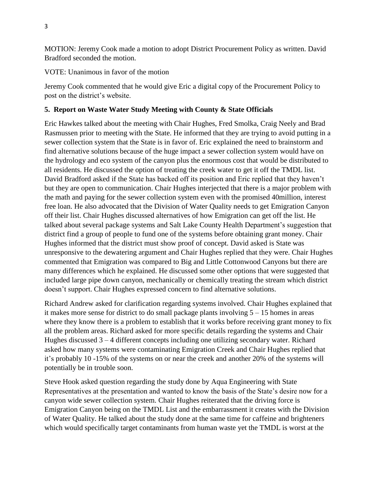MOTION: Jeremy Cook made a motion to adopt District Procurement Policy as written. David Bradford seconded the motion.

VOTE: Unanimous in favor of the motion

Jeremy Cook commented that he would give Eric a digital copy of the Procurement Policy to post on the district's website.

# **5. Report on Waste Water Study Meeting with County & State Officials**

Eric Hawkes talked about the meeting with Chair Hughes, Fred Smolka, Craig Neely and Brad Rasmussen prior to meeting with the State. He informed that they are trying to avoid putting in a sewer collection system that the State is in favor of. Eric explained the need to brainstorm and find alternative solutions because of the huge impact a sewer collection system would have on the hydrology and eco system of the canyon plus the enormous cost that would be distributed to all residents. He discussed the option of treating the creek water to get it off the TMDL list. David Bradford asked if the State has backed off its position and Eric replied that they haven't but they are open to communication. Chair Hughes interjected that there is a major problem with the math and paying for the sewer collection system even with the promised 40million, interest free loan. He also advocated that the Division of Water Quality needs to get Emigration Canyon off their list. Chair Hughes discussed alternatives of how Emigration can get off the list. He talked about several package systems and Salt Lake County Health Department's suggestion that district find a group of people to fund one of the systems before obtaining grant money. Chair Hughes informed that the district must show proof of concept. David asked is State was unresponsive to the dewatering argument and Chair Hughes replied that they were. Chair Hughes commented that Emigration was compared to Big and Little Cottonwood Canyons but there are many differences which he explained. He discussed some other options that were suggested that included large pipe down canyon, mechanically or chemically treating the stream which district doesn't support. Chair Hughes expressed concern to find alternative solutions.

Richard Andrew asked for clarification regarding systems involved. Chair Hughes explained that it makes more sense for district to do small package plants involving 5 – 15 homes in areas where they know there is a problem to establish that it works before receiving grant money to fix all the problem areas. Richard asked for more specific details regarding the systems and Chair Hughes discussed 3 – 4 different concepts including one utilizing secondary water. Richard asked how many systems were contaminating Emigration Creek and Chair Hughes replied that it's probably 10 -15% of the systems on or near the creek and another 20% of the systems will potentially be in trouble soon.

Steve Hook asked question regarding the study done by Aqua Engineering with State Representatives at the presentation and wanted to know the basis of the State's desire now for a canyon wide sewer collection system. Chair Hughes reiterated that the driving force is Emigration Canyon being on the TMDL List and the embarrassment it creates with the Division of Water Quality. He talked about the study done at the same time for caffeine and brighteners which would specifically target contaminants from human waste yet the TMDL is worst at the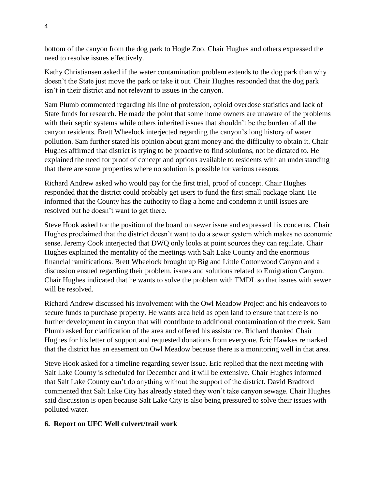bottom of the canyon from the dog park to Hogle Zoo. Chair Hughes and others expressed the need to resolve issues effectively.

Kathy Christiansen asked if the water contamination problem extends to the dog park than why doesn't the State just move the park or take it out. Chair Hughes responded that the dog park isn't in their district and not relevant to issues in the canyon.

Sam Plumb commented regarding his line of profession, opioid overdose statistics and lack of State funds for research. He made the point that some home owners are unaware of the problems with their septic systems while others inherited issues that shouldn't be the burden of all the canyon residents. Brett Wheelock interjected regarding the canyon's long history of water pollution. Sam further stated his opinion about grant money and the difficulty to obtain it. Chair Hughes affirmed that district is trying to be proactive to find solutions, not be dictated to. He explained the need for proof of concept and options available to residents with an understanding that there are some properties where no solution is possible for various reasons.

Richard Andrew asked who would pay for the first trial, proof of concept. Chair Hughes responded that the district could probably get users to fund the first small package plant. He informed that the County has the authority to flag a home and condemn it until issues are resolved but he doesn't want to get there.

Steve Hook asked for the position of the board on sewer issue and expressed his concerns. Chair Hughes proclaimed that the district doesn't want to do a sewer system which makes no economic sense. Jeremy Cook interjected that DWQ only looks at point sources they can regulate. Chair Hughes explained the mentality of the meetings with Salt Lake County and the enormous financial ramifications. Brett Wheelock brought up Big and Little Cottonwood Canyon and a discussion ensued regarding their problem, issues and solutions related to Emigration Canyon. Chair Hughes indicated that he wants to solve the problem with TMDL so that issues with sewer will be resolved.

Richard Andrew discussed his involvement with the Owl Meadow Project and his endeavors to secure funds to purchase property. He wants area held as open land to ensure that there is no further development in canyon that will contribute to additional contamination of the creek. Sam Plumb asked for clarification of the area and offered his assistance. Richard thanked Chair Hughes for his letter of support and requested donations from everyone. Eric Hawkes remarked that the district has an easement on Owl Meadow because there is a monitoring well in that area.

Steve Hook asked for a timeline regarding sewer issue. Eric replied that the next meeting with Salt Lake County is scheduled for December and it will be extensive. Chair Hughes informed that Salt Lake County can't do anything without the support of the district. David Bradford commented that Salt Lake City has already stated they won't take canyon sewage. Chair Hughes said discussion is open because Salt Lake City is also being pressured to solve their issues with polluted water.

# **6. Report on UFC Well culvert/trail work**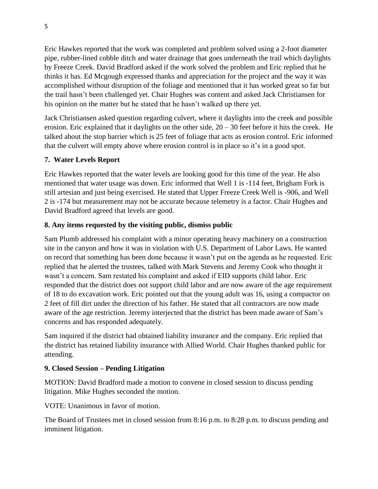Eric Hawkes reported that the work was completed and problem solved using a 2-foot diameter pipe, rubber-lined cobble ditch and water drainage that goes underneath the trail which daylights by Freeze Creek. David Bradford asked if the work solved the problem and Eric replied that he thinks it has. Ed Mcgough expressed thanks and appreciation for the project and the way it was accomplished without disruption of the foliage and mentioned that it has worked great so far but the trail hasn't been challenged yet. Chair Hughes was content and asked Jack Christiansen for his opinion on the matter but he stated that he hasn't walked up there yet.

Jack Christiansen asked question regarding culvert, where it daylights into the creek and possible erosion. Eric explained that it daylights on the other side, 20 – 30 feet before it hits the creek. He talked about the stop barrier which is 25 feet of foliage that acts as erosion control. Eric informed that the culvert will empty above where erosion control is in place so it's in a good spot.

# **7. Water Levels Report**

Eric Hawkes reported that the water levels are looking good for this time of the year. He also mentioned that water usage was down. Eric informed that Well 1 is -114 feet, Brigham Fork is still artesian and just being exercised. He stated that Upper Freeze Creek Well is -906, and Well 2 is -174 but measurement may not be accurate because telemetry is a factor. Chair Hughes and David Bradford agreed that levels are good.

# **8. Any items requested by the visiting public, dismiss public**

Sam Plumb addressed his complaint with a minor operating heavy machinery on a construction site in the canyon and how it was in violation with U.S. Department of Labor Laws. He wanted on record that something has been done because it wasn't put on the agenda as he requested. Eric replied that he alerted the trustees, talked with Mark Stevens and Jeremy Cook who thought it wasn't a concern. Sam restated his complaint and asked if EID supports child labor. Eric responded that the district does not support child labor and are now aware of the age requirement of 18 to do excavation work. Eric pointed out that the young adult was 16, using a compactor on 2 feet of fill dirt under the direction of his father. He stated that all contractors are now made aware of the age restriction. Jeremy interjected that the district has been made aware of Sam's concerns and has responded adequately.

Sam inquired if the district had obtained liability insurance and the company. Eric replied that the district has retained liability insurance with Allied World. Chair Hughes thanked public for attending.

# **9. Closed Session – Pending Litigation**

MOTION: David Bradford made a motion to convene in closed session to discuss pending litigation. Mike Hughes seconded the motion.

VOTE: Unanimous in favor of motion.

The Board of Trustees met in closed session from 8:16 p.m. to 8:28 p.m. to discuss pending and imminent litigation.